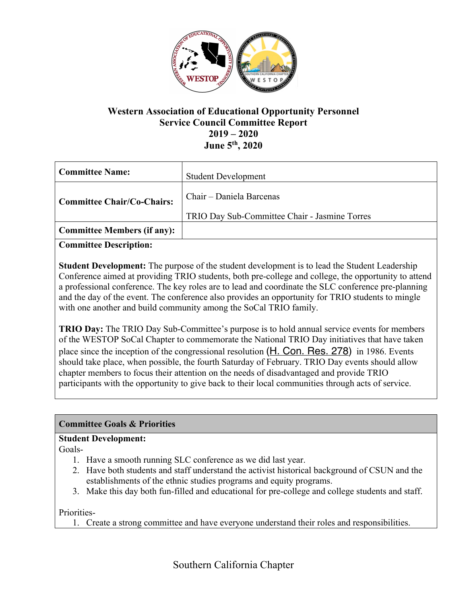

# **Western Association of Educational Opportunity Personnel Service Council Committee Report 2019 – 2020 June 5th, 2020**

| <b>Committee Name:</b>             | <b>Student Development</b>                                                |
|------------------------------------|---------------------------------------------------------------------------|
| <b>Committee Chair/Co-Chairs:</b>  | Chair – Daniela Barcenas<br>TRIO Day Sub-Committee Chair - Jasmine Torres |
| <b>Committee Members (if any):</b> |                                                                           |

**Committee Description:**

**Student Development:** The purpose of the student development is to lead the Student Leadership Conference aimed at providing TRIO students, both pre-college and college, the opportunity to attend a professional conference. The key roles are to lead and coordinate the SLC conference pre-planning and the day of the event. The conference also provides an opportunity for TRIO students to mingle with one another and build community among the SoCal TRIO family.

**TRIO Day:** The TRIO Day Sub-Committee's purpose is to hold annual service events for members of the WESTOP SoCal Chapter to commemorate the National TRIO Day initiatives that have taken place since the inception of the congressional resolution (H. Con. Res. 278) in 1986. Events should take place, when possible, the fourth Saturday of February. TRIO Day events should allow chapter members to focus their attention on the needs of disadvantaged and provide TRIO participants with the opportunity to give back to their local communities through acts of service.

## **Committee Goals & Priorities**

## **Student Development:**

Goals-

- 1. Have a smooth running SLC conference as we did last year.
- 2. Have both students and staff understand the activist historical background of CSUN and the establishments of the ethnic studies programs and equity programs.
- 3. Make this day both fun-filled and educational for pre-college and college students and staff.

Priorities-

1. Create a strong committee and have everyone understand their roles and responsibilities.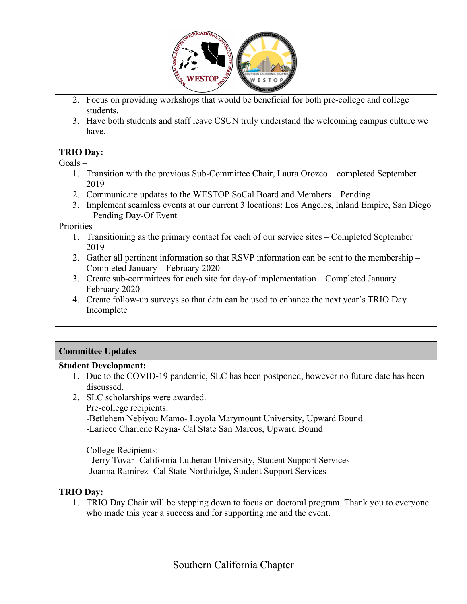

- 2. Focus on providing workshops that would be beneficial for both pre-college and college students.
- 3. Have both students and staff leave CSUN truly understand the welcoming campus culture we have.

## **TRIO Day:**

 $G$ oals –

- 1. Transition with the previous Sub-Committee Chair, Laura Orozco completed September 2019
- 2. Communicate updates to the WESTOP SoCal Board and Members Pending
- 3. Implement seamless events at our current 3 locations: Los Angeles, Inland Empire, San Diego – Pending Day-Of Event

Priorities –

- 1. Transitioning as the primary contact for each of our service sites Completed September 2019
- 2. Gather all pertinent information so that RSVP information can be sent to the membership Completed January – February 2020
- 3. Create sub-committees for each site for day-of implementation Completed January February 2020
- 4. Create follow-up surveys so that data can be used to enhance the next year's TRIO Day Incomplete

## **Committee Updates**

#### **Student Development:**

- 1. Due to the COVID-19 pandemic, SLC has been postponed, however no future date has been discussed.
- 2. SLC scholarships were awarded.
	- Pre-college recipients:
		- -Betlehem Nebiyou Mamo- Loyola Marymount University, Upward Bound -Lariece Charlene Reyna- Cal State San Marcos, Upward Bound

College Recipients:

- Jerry Tovar- California Lutheran University, Student Support Services -Joanna Ramirez- Cal State Northridge, Student Support Services

## **TRIO Day:**

1. TRIO Day Chair will be stepping down to focus on doctoral program. Thank you to everyone who made this year a success and for supporting me and the event.